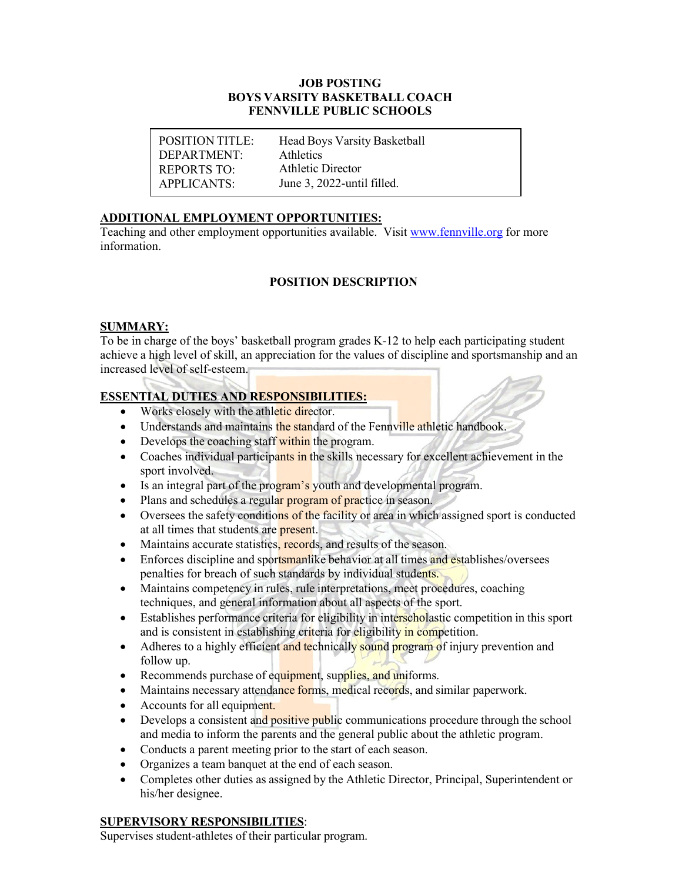#### **JOB POSTING BOYS VARSITY BASKETBALL COACH FENNVILLE PUBLIC SCHOOLS**

POSITION TITLE: DEPARTMENT: REPORTS TO: APPLICANTS:

Head Boys Varsity Basketball Athletics Athletic Director June 3, 2022-until filled.

### **ADDITIONAL EMPLOYMENT OPPORTUNITIES:**

Teaching and other employment opportunities available. Visit [www.fennville.org](https://www.fennville.org/domain/10) for more information.

### **POSITION DESCRIPTION**

### **SUMMARY:**

To be in charge of the boys' basketball program grades K-12 to help each participating student achieve a high level of skill, an appreciation for the values of discipline and sportsmanship and an increased level of self-esteem.

### **ESSENTIAL DUTIES AND RESPONSIBILITIES:**

- Works closely with the athletic director.
- Understands and maintains the standard of the Fennville athletic handbook.
- Develops the coaching staff within the program.
- Coaches individual participants in the skills necessary for excellent achievement in the sport involved.
- Is an integral part of the program's youth and developmental program.
- Plans and schedules a regular program of practice in season.
- Oversees the safety conditions of the facility or area in which assigned sport is conducted at all times that students are present.
- Maintains accurate statistics, records, and results of the season.
- Enforces discipline and sportsmanlike behavior at all times and establishes/oversees penalties for breach of such standards by individual students.
- Maintains competency in rules, rule interpretations, meet procedures, coaching techniques, and general information about all aspects of the sport.
- Establishes performance criteria for eligibility in interscholastic competition in this sport and is consistent in establishing criteria for eligibility in competition.
- Adheres to a highly efficient and technically sound program of injury prevention and follow up.
- Recommends purchase of equipment, supplies, and uniforms.
- Maintains necessary attendance forms, medical records, and similar paperwork.
- Accounts for all equipment.
- Develops a consistent and positive public communications procedure through the school and media to inform the parents and the general public about the athletic program.
- Conducts a parent meeting prior to the start of each season.
- Organizes a team banquet at the end of each season.
- Completes other duties as assigned by the Athletic Director, Principal, Superintendent or his/her designee.

### **SUPERVISORY RESPONSIBILITIES**:

Supervises student-athletes of their particular program.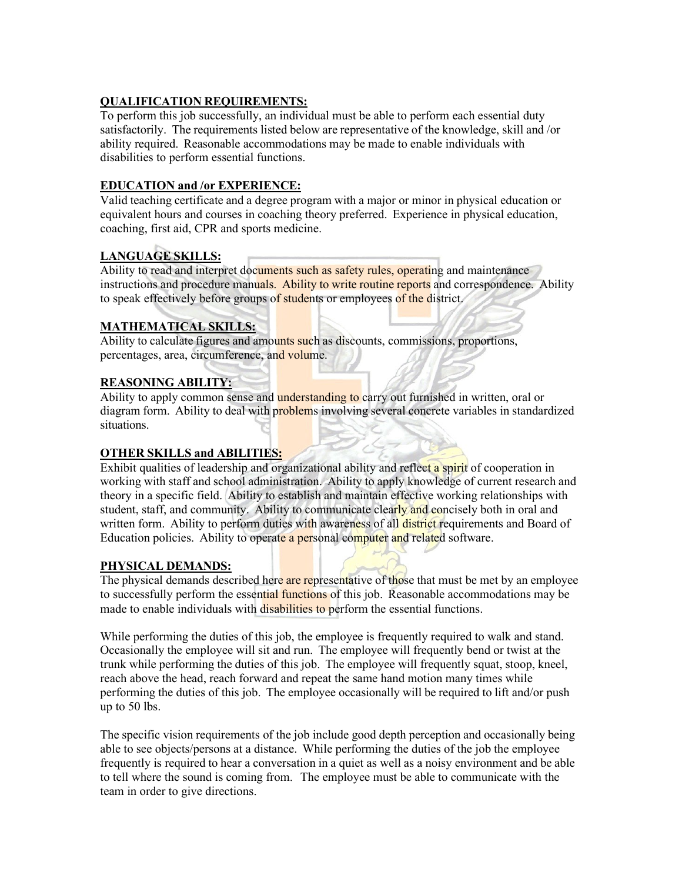### **QUALIFICATION REQUIREMENTS:**

To perform this job successfully, an individual must be able to perform each essential duty satisfactorily. The requirements listed below are representative of the knowledge, skill and /or ability required. Reasonable accommodations may be made to enable individuals with disabilities to perform essential functions.

### **EDUCATION and /or EXPERIENCE:**

Valid teaching certificate and a degree program with a major or minor in physical education or equivalent hours and courses in coaching theory preferred. Experience in physical education, coaching, first aid, CPR and sports medicine.

# **LANGUAGE SKILLS:**

Ability to read and interpret documents such as safety rules, operating and maintenance instructions and procedure manuals. Ability to write routine reports and correspondence. Ability to speak effectively before groups of students or employees of the district.

## **MATHEMATICAL SKILLS:**

Ability to calculate figures and amounts such as discounts, commissions, proportions, percentages, area, circumference, and volume.

## **REASONING ABILITY:**

Ability to apply common sense and **understanding to** carry out furnished in written, oral or diagram form. Ability to deal with problems involving several concrete variables in standardized situations.

## **OTHER SKILLS and ABILITIES:**

Exhibit qualities of leadership and organizational ability and reflect a spirit of cooperation in working with staff and school administration. Ability to apply knowledge of current research and theory in a specific field. Ability to establish and maintain effective working relationships with student, staff, and community. Ability to communicate clearly and concisely both in oral and written form. Ability to perform duties with awareness of all district requirements and Board of Education policies. Ability to operate a personal computer and related software.

### **PHYSICAL DEMANDS:**

The physical demands described here are representative of those that must be met by an employee to successfully perform the essential functions of this job. Reasonable accommodations may be made to enable individuals with disabilities to perform the essential functions.

While performing the duties of this job, the employee is frequently required to walk and stand. Occasionally the employee will sit and run. The employee will frequently bend or twist at the trunk while performing the duties of this job. The employee will frequently squat, stoop, kneel, reach above the head, reach forward and repeat the same hand motion many times while performing the duties of this job. The employee occasionally will be required to lift and/or push up to 50 lbs.

The specific vision requirements of the job include good depth perception and occasionally being able to see objects/persons at a distance. While performing the duties of the job the employee frequently is required to hear a conversation in a quiet as well as a noisy environment and be able to tell where the sound is coming from. The employee must be able to communicate with the team in order to give directions.